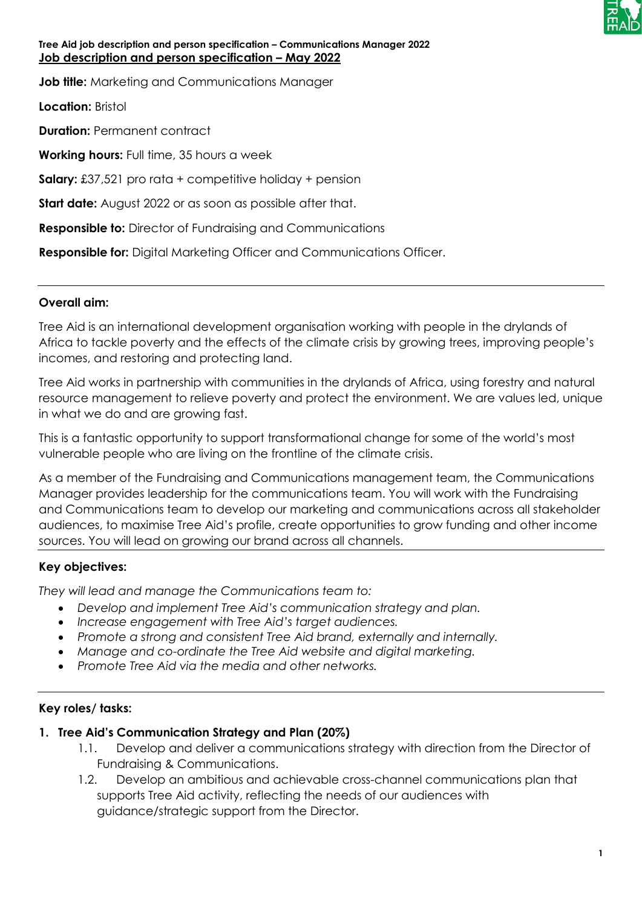

## **Tree Aid job description and person specification – Communications Manager 2022 Job description and person specification – May 2022**

**Job title:** Marketing and Communications Manager

**Location:** Bristol

**Duration:** Permanent contract

**Working hours:** Full time, 35 hours a week

**Salary:** £37,521 pro rata + competitive holiday + pension

**Start date:** August 2022 or as soon as possible after that.

**Responsible to:** Director of Fundraising and Communications

**Responsible for:** Digital Marketing Officer and Communications Officer.

## **Overall aim:**

Tree Aid is an international development organisation working with people in the drylands of Africa to tackle poverty and the effects of the climate crisis by growing trees, improving people's incomes, and restoring and protecting land.

Tree Aid works in partnership with communities in the drylands of Africa, using forestry and natural resource management to relieve poverty and protect the environment. We are values led, unique in what we do and are growing fast.

This is a fantastic opportunity to support transformational change for some of the world's most vulnerable people who are living on the frontline of the climate crisis.

As a member of the Fundraising and Communications management team, the Communications Manager provides leadership for the communications team. You will work with the Fundraising and Communications team to develop our marketing and communications across all stakeholder audiences, to maximise Tree Aid's profile, create opportunities to grow funding and other income sources. You will lead on growing our brand across all channels.

## **Key objectives:**

*They will lead and manage the Communications team to:*

- *Develop and implement Tree Aid's communication strategy and plan.*
- *Increase engagement with Tree Aid's target audiences.*
- *Promote a strong and consistent Tree Aid brand, externally and internally.*
- *Manage and co-ordinate the Tree Aid website and digital marketing.*
- *Promote Tree Aid via the media and other networks.*

## **Key roles/ tasks:**

## **1. Tree Aid's Communication Strategy and Plan (20%)**

- 1.1. Develop and deliver a communications strategy with direction from the Director of Fundraising & Communications.
- 1.2. Develop an ambitious and achievable cross-channel communications plan that supports Tree Aid activity, reflecting the needs of our audiences with guidance/strategic support from the Director.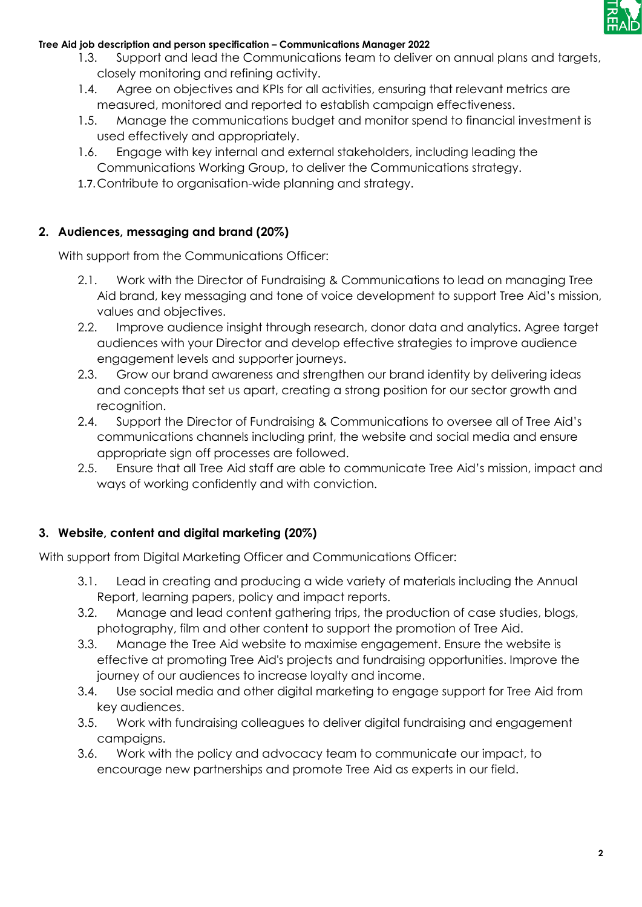

## **Tree Aid job description and person specification – Communications Manager 2022**

- 1.3. Support and lead the Communications team to deliver on annual plans and targets, closely monitoring and refining activity.
- 1.4. Agree on objectives and KPIs for all activities, ensuring that relevant metrics are measured, monitored and reported to establish campaign effectiveness.
- 1.5. Manage the communications budget and monitor spend to financial investment is used effectively and appropriately.
- 1.6. Engage with key internal and external stakeholders, including leading the Communications Working Group, to deliver the Communications strategy.
- 1.7.Contribute to organisation-wide planning and strategy.

# **2. Audiences, messaging and brand (20%)**

With support from the Communications Officer:

- 2.1. Work with the Director of Fundraising & Communications to lead on managing Tree Aid brand, key messaging and tone of voice development to support Tree Aid's mission, values and objectives.
- 2.2. Improve audience insight through research, donor data and analytics. Agree target audiences with your Director and develop effective strategies to improve audience engagement levels and supporter journeys.
- 2.3. Grow our brand awareness and strengthen our brand identity by delivering ideas and concepts that set us apart, creating a strong position for our sector growth and recognition.
- 2.4. Support the Director of Fundraising & Communications to oversee all of Tree Aid's communications channels including print, the website and social media and ensure appropriate sign off processes are followed.
- 2.5. Ensure that all Tree Aid staff are able to communicate Tree Aid's mission, impact and ways of working confidently and with conviction.

# **3. Website, content and digital marketing (20%)**

With support from Digital Marketing Officer and Communications Officer:

- 3.1. Lead in creating and producing a wide variety of materials including the Annual Report, learning papers, policy and impact reports.
- 3.2. Manage and lead content gathering trips, the production of case studies, blogs, photography, film and other content to support the promotion of Tree Aid.
- 3.3. Manage the Tree Aid website to maximise engagement. Ensure the website is effective at promoting Tree Aid's projects and fundraising opportunities. Improve the journey of our audiences to increase loyalty and income.
- 3.4. Use social media and other digital marketing to engage support for Tree Aid from key audiences.
- 3.5. Work with fundraising colleagues to deliver digital fundraising and engagement campaigns.
- 3.6. Work with the policy and advocacy team to communicate our impact, to encourage new partnerships and promote Tree Aid as experts in our field.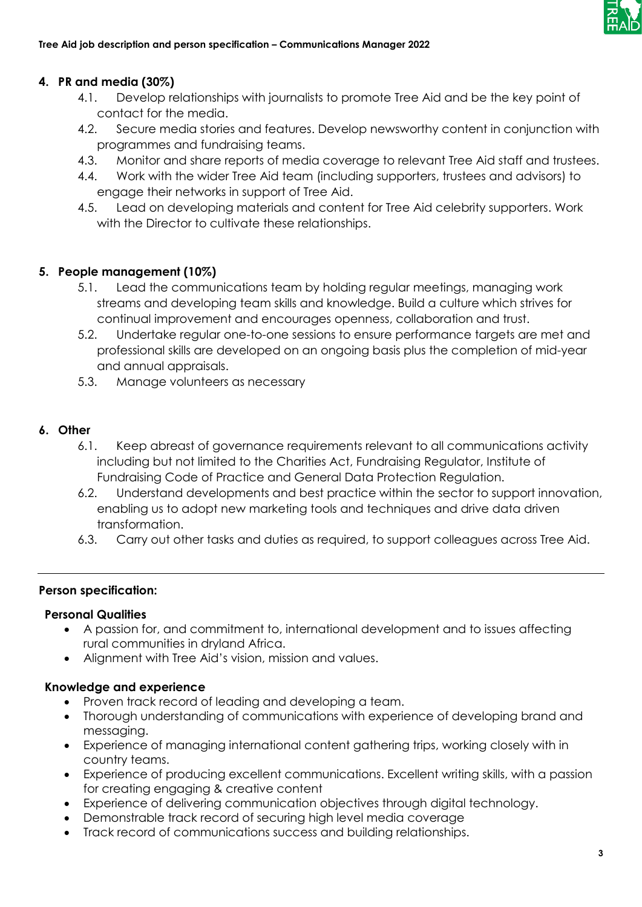

## **4. PR and media (30%)**

- 4.1. Develop relationships with journalists to promote Tree Aid and be the key point of contact for the media.
- 4.2. Secure media stories and features. Develop newsworthy content in conjunction with programmes and fundraising teams.
- 4.3. Monitor and share reports of media coverage to relevant Tree Aid staff and trustees.
- 4.4. Work with the wider Tree Aid team (including supporters, trustees and advisors) to engage their networks in support of Tree Aid.
- 4.5. Lead on developing materials and content for Tree Aid celebrity supporters. Work with the Director to cultivate these relationships.

## **5. People management (10%)**

- 5.1. Lead the communications team by holding regular meetings, managing work streams and developing team skills and knowledge. Build a culture which strives for continual improvement and encourages openness, collaboration and trust.
- 5.2. Undertake regular one-to-one sessions to ensure performance targets are met and professional skills are developed on an ongoing basis plus the completion of mid-year and annual appraisals.
- 5.3. Manage volunteers as necessary

## **6. Other**

- 6.1. Keep abreast of governance requirements relevant to all communications activity including but not limited to the Charities Act, Fundraising Regulator, Institute of Fundraising Code of Practice and General Data Protection Regulation.
- 6.2. Understand developments and best practice within the sector to support innovation, enabling us to adopt new marketing tools and techniques and drive data driven transformation.
- 6.3. Carry out other tasks and duties as required, to support colleagues across Tree Aid.

## **Person specification:**

## **Personal Qualities**

- A passion for, and commitment to, international development and to issues affecting rural communities in dryland Africa.
- Alignment with Tree Aid's vision, mission and values.

## **Knowledge and experience**

- Proven track record of leading and developing a team.
- Thorough understanding of communications with experience of developing brand and messaging.
- Experience of managing international content gathering trips, working closely with in country teams.
- Experience of producing excellent communications. Excellent writing skills, with a passion for creating engaging & creative content
- Experience of delivering communication objectives through digital technology.
- Demonstrable track record of securing high level media coverage
- Track record of communications success and building relationships.